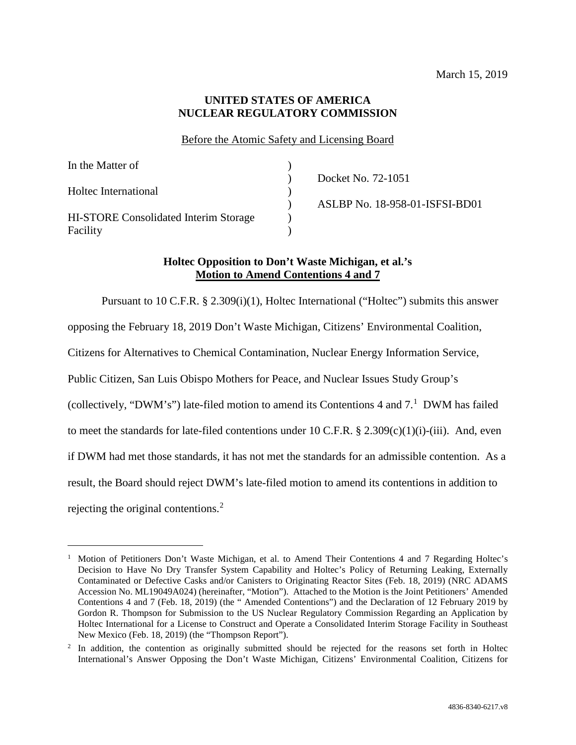### **UNITED STATES OF AMERICA NUCLEAR REGULATORY COMMISSION**

### Before the Atomic Safety and Licensing Board

| In the Matter of                             |                                |
|----------------------------------------------|--------------------------------|
|                                              | Docket No. 72-1051             |
| Holtec International                         |                                |
|                                              | ASLBP No. 18-958-01-ISFSI-BD01 |
| <b>HI-STORE Consolidated Interim Storage</b> |                                |
| Facility                                     |                                |

# **Holtec Opposition to Don't Waste Michigan, et al.'s Motion to Amend Contentions 4 and 7**

Pursuant to 10 C.F.R. § 2.309(i)(1), Holtec International ("Holtec") submits this answer opposing the February 18, 2019 Don't Waste Michigan, Citizens' Environmental Coalition, Citizens for Alternatives to Chemical Contamination, Nuclear Energy Information Service, Public Citizen, San Luis Obispo Mothers for Peace, and Nuclear Issues Study Group's (collectively, "DWM's") late-filed motion to amend its Contentions 4 and 7. [1](#page-0-0) DWM has failed to meet the standards for late-filed contentions under 10 C.F.R. § 2.309(c)(1)(i)-(iii). And, even if DWM had met those standards, it has not met the standards for an admissible contention. As a result, the Board should reject DWM's late-filed motion to amend its contentions in addition to rejecting the original contentions. [2](#page-0-1)

<span id="page-0-0"></span> <sup>1</sup> Motion of Petitioners Don't Waste Michigan, et al. to Amend Their Contentions 4 and 7 Regarding Holtec's Decision to Have No Dry Transfer System Capability and Holtec's Policy of Returning Leaking, Externally Contaminated or Defective Casks and/or Canisters to Originating Reactor Sites (Feb. 18, 2019) (NRC ADAMS Accession No. ML19049A024) (hereinafter, "Motion"). Attached to the Motion is the Joint Petitioners' Amended Contentions 4 and 7 (Feb. 18, 2019) (the " Amended Contentions") and the Declaration of 12 February 2019 by Gordon R. Thompson for Submission to the US Nuclear Regulatory Commission Regarding an Application by Holtec International for a License to Construct and Operate a Consolidated Interim Storage Facility in Southeast New Mexico (Feb. 18, 2019) (the "Thompson Report").

<span id="page-0-1"></span><sup>&</sup>lt;sup>2</sup> In addition, the contention as originally submitted should be rejected for the reasons set forth in Holtec International's Answer Opposing the Don't Waste Michigan, Citizens' Environmental Coalition, Citizens for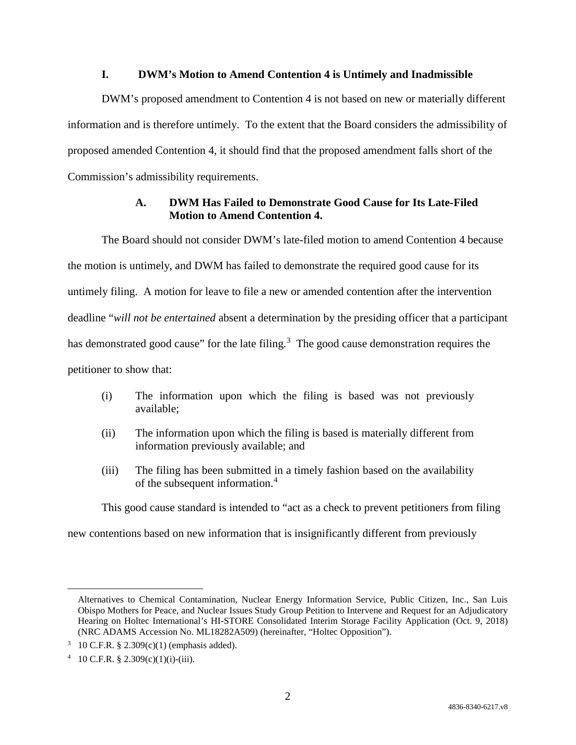#### **I. DWM's Motion to Amend Contention 4 is Untimely and Inadmissible**

DWM's proposed amendment to Contention 4 is not based on new or materially different information and is therefore untimely. To the extent that the Board considers the admissibility of proposed amended Contention 4, it should find that the proposed amendment falls short of the Commission's admissibility requirements.

# **A. DWM Has Failed to Demonstrate Good Cause for Its Late-Filed Motion to Amend Contention 4.**

The Board should not consider DWM's late-filed motion to amend Contention 4 because the motion is untimely, and DWM has failed to demonstrate the required good cause for its untimely filing. A motion for leave to file a new or amended contention after the intervention deadline "*will not be entertained* absent a determination by the presiding officer that a participant has demonstrated good cause" for the late filing.<sup>[3](#page-1-0)</sup> The good cause demonstration requires the petitioner to show that:

- (i) The information upon which the filing is based was not previously available;
- (ii) The information upon which the filing is based is materially different from information previously available; and
- (iii) The filing has been submitted in a timely fashion based on the availability of the subsequent information.[4](#page-1-1)

This good cause standard is intended to "act as a check to prevent petitioners from filing

new contentions based on new information that is insignificantly different from previously

 $\overline{a}$ 

Alternatives to Chemical Contamination, Nuclear Energy Information Service, Public Citizen, Inc., San Luis Obispo Mothers for Peace, and Nuclear Issues Study Group Petition to Intervene and Request for an Adjudicatory Hearing on Holtec International's HI-STORE Consolidated Interim Storage Facility Application (Oct. 9, 2018) (NRC ADAMS Accession No. ML18282A509) (hereinafter, "Holtec Opposition").

<span id="page-1-0"></span><sup>&</sup>lt;sup>3</sup> 10 C.F.R. § 2.309(c)(1) (emphasis added).

<span id="page-1-1"></span><sup>4 10</sup> C.F.R. § 2.309(c)(1)(i)-(iii).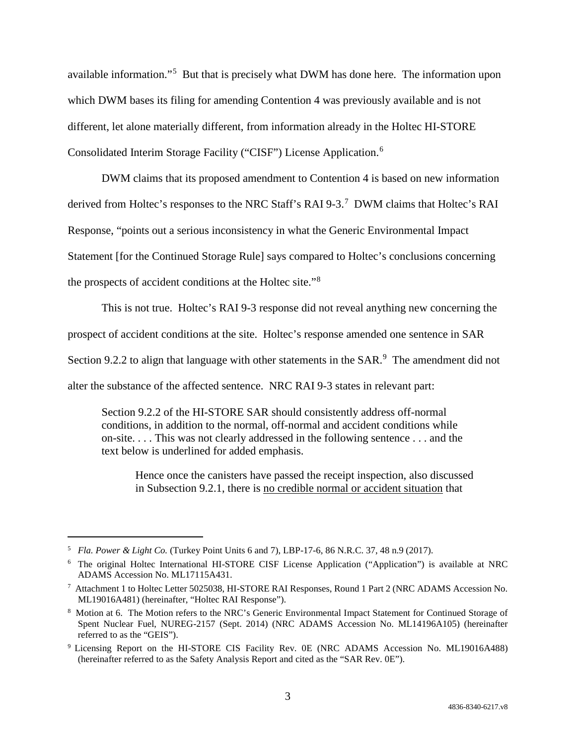available information."[5](#page-2-0) But that is precisely what DWM has done here. The information upon which DWM bases its filing for amending Contention 4 was previously available and is not different, let alone materially different, from information already in the Holtec HI-STORE Consolidated Interim Storage Facility ("CISF") License Application.[6](#page-2-1)

DWM claims that its proposed amendment to Contention 4 is based on new information derived from Holtec's responses to the NRC Staff's RAI 9-3.<sup>[7](#page-2-2)</sup> DWM claims that Holtec's RAI Response, "points out a serious inconsistency in what the Generic Environmental Impact Statement [for the Continued Storage Rule] says compared to Holtec's conclusions concerning the prospects of accident conditions at the Holtec site."[8](#page-2-3)

This is not true. Holtec's RAI 9-3 response did not reveal anything new concerning the

prospect of accident conditions at the site. Holtec's response amended one sentence in SAR

Section [9](#page-2-4).2.2 to align that language with other statements in the  $SAR$ .<sup>9</sup> The amendment did not

alter the substance of the affected sentence. NRC RAI 9-3 states in relevant part:

Section 9.2.2 of the HI-STORE SAR should consistently address off-normal conditions, in addition to the normal, off-normal and accident conditions while on-site. . . . This was not clearly addressed in the following sentence . . . and the text below is underlined for added emphasis.

Hence once the canisters have passed the receipt inspection, also discussed in Subsection 9.2.1, there is no credible normal or accident situation that

<span id="page-2-0"></span> <sup>5</sup> *Fla. Power & Light Co.* (Turkey Point Units 6 and 7), LBP-17-6, 86 N.R.C. 37, 48 n.9 (2017).

<span id="page-2-1"></span><sup>6</sup> The original Holtec International HI-STORE CISF License Application ("Application") is available at NRC ADAMS Accession No. ML17115A431.

<span id="page-2-2"></span><sup>&</sup>lt;sup>7</sup> Attachment 1 to Holtec Letter 5025038, HI-STORE RAI Responses, Round 1 Part 2 (NRC ADAMS Accession No. ML19016A481) (hereinafter, "Holtec RAI Response").

<span id="page-2-3"></span><sup>8</sup> Motion at 6. The Motion refers to the NRC's Generic Environmental Impact Statement for Continued Storage of Spent Nuclear Fuel, NUREG-2157 (Sept. 2014) (NRC ADAMS Accession No. ML14196A105) (hereinafter referred to as the "GEIS").

<span id="page-2-4"></span><sup>9</sup> Licensing Report on the HI-STORE CIS Facility Rev. 0E (NRC ADAMS Accession No. ML19016A488) (hereinafter referred to as the Safety Analysis Report and cited as the "SAR Rev. 0E").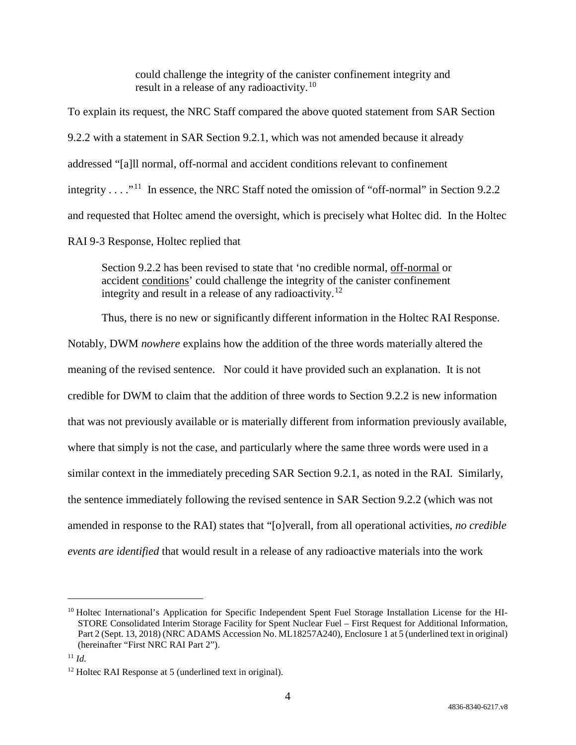could challenge the integrity of the canister confinement integrity and result in a release of any radioactivity.<sup>[10](#page-3-0)</sup>

To explain its request, the NRC Staff compared the above quoted statement from SAR Section 9.2.2 with a statement in SAR Section 9.2.1, which was not amended because it already addressed "[a]ll normal, off-normal and accident conditions relevant to confinement integrity . . . . "<sup>[11](#page-3-1)</sup> In essence, the NRC Staff noted the omission of "off-normal" in Section 9.2.2 and requested that Holtec amend the oversight, which is precisely what Holtec did. In the Holtec RAI 9-3 Response, Holtec replied that

Section 9.2.2 has been revised to state that 'no credible normal, off-normal or accident conditions' could challenge the integrity of the canister confinement integrity and result in a release of any radioactivity.<sup>[12](#page-3-2)</sup>

Thus, there is no new or significantly different information in the Holtec RAI Response. Notably, DWM *nowhere* explains how the addition of the three words materially altered the meaning of the revised sentence. Nor could it have provided such an explanation. It is not credible for DWM to claim that the addition of three words to Section 9.2.2 is new information that was not previously available or is materially different from information previously available, where that simply is not the case, and particularly where the same three words were used in a similar context in the immediately preceding SAR Section 9.2.1, as noted in the RAI. Similarly, the sentence immediately following the revised sentence in SAR Section 9.2.2 (which was not amended in response to the RAI) states that "[o]verall, from all operational activities, *no credible events are identified* that would result in a release of any radioactive materials into the work

<span id="page-3-0"></span><sup>&</sup>lt;sup>10</sup> Holtec International's Application for Specific Independent Spent Fuel Storage Installation License for the HI-STORE Consolidated Interim Storage Facility for Spent Nuclear Fuel – First Request for Additional Information, Part 2 (Sept. 13, 2018) (NRC ADAMS Accession No. ML18257A240), Enclosure 1 at 5 (underlined text in original) (hereinafter "First NRC RAI Part 2").

<span id="page-3-1"></span><sup>11</sup> *Id.*

<span id="page-3-2"></span><sup>12</sup> Holtec RAI Response at 5 (underlined text in original).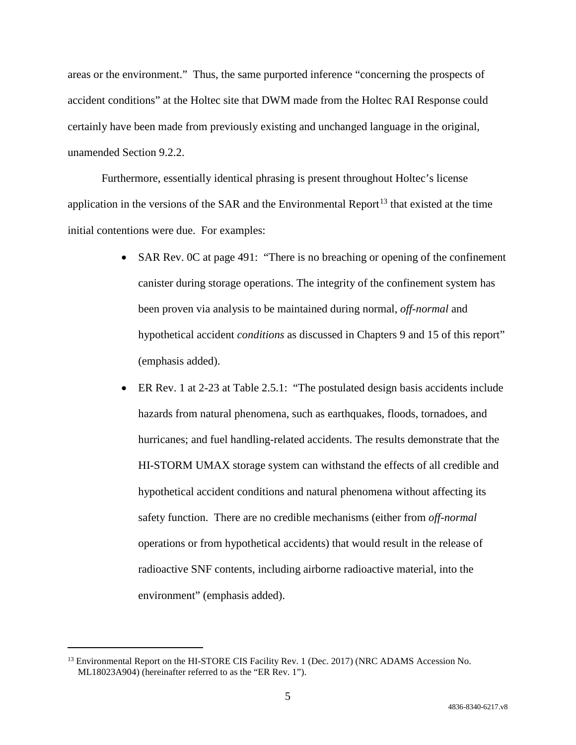areas or the environment." Thus, the same purported inference "concerning the prospects of accident conditions" at the Holtec site that DWM made from the Holtec RAI Response could certainly have been made from previously existing and unchanged language in the original, unamended Section 9.2.2.

Furthermore, essentially identical phrasing is present throughout Holtec's license application in the versions of the SAR and the Environmental Report<sup>[13](#page-4-0)</sup> that existed at the time initial contentions were due. For examples:

- SAR Rev. 0C at page 491: "There is no breaching or opening of the confinement canister during storage operations. The integrity of the confinement system has been proven via analysis to be maintained during normal, *off-normal* and hypothetical accident *conditions* as discussed in Chapters 9 and 15 of this report" (emphasis added).
- ER Rev. 1 at 2-23 at Table 2.5.1: "The postulated design basis accidents include hazards from natural phenomena, such as earthquakes, floods, tornadoes, and hurricanes; and fuel handling-related accidents. The results demonstrate that the HI-STORM UMAX storage system can withstand the effects of all credible and hypothetical accident conditions and natural phenomena without affecting its safety function. There are no credible mechanisms (either from *off-normal* operations or from hypothetical accidents) that would result in the release of radioactive SNF contents, including airborne radioactive material, into the environment" (emphasis added).

<span id="page-4-0"></span><sup>&</sup>lt;sup>13</sup> Environmental Report on the HI-STORE CIS Facility Rev. 1 (Dec. 2017) (NRC ADAMS Accession No. ML18023A904) (hereinafter referred to as the "ER Rev. 1").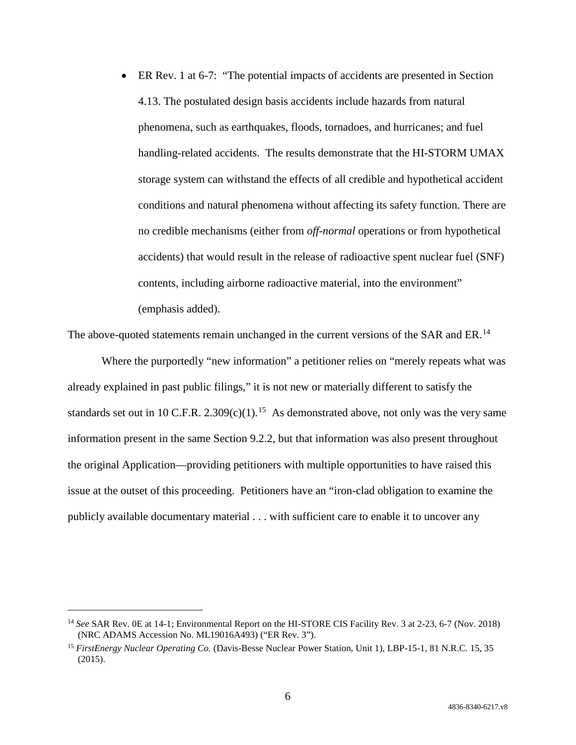ER Rev. 1 at 6-7: "The potential impacts of accidents are presented in Section 4.13. The postulated design basis accidents include hazards from natural phenomena, such as earthquakes, floods, tornadoes, and hurricanes; and fuel handling-related accidents. The results demonstrate that the HI-STORM UMAX storage system can withstand the effects of all credible and hypothetical accident conditions and natural phenomena without affecting its safety function. There are no credible mechanisms (either from *off-normal* operations or from hypothetical accidents) that would result in the release of radioactive spent nuclear fuel (SNF) contents, including airborne radioactive material, into the environment" (emphasis added).

The above-quoted statements remain unchanged in the current versions of the SAR and ER.<sup>[14](#page-5-0)</sup>

Where the purportedly "new information" a petitioner relies on "merely repeats what was already explained in past public filings," it is not new or materially different to satisfy the standards set out in 10 C.F.R. 2.309(c)(1).<sup>[15](#page-5-1)</sup> As demonstrated above, not only was the very same information present in the same Section 9.2.2, but that information was also present throughout the original Application—providing petitioners with multiple opportunities to have raised this issue at the outset of this proceeding. Petitioners have an "iron-clad obligation to examine the publicly available documentary material . . . with sufficient care to enable it to uncover any

<span id="page-5-0"></span> <sup>14</sup> *See* SAR Rev. 0E at 14-1; Environmental Report on the HI-STORE CIS Facility Rev. 3 at 2-23, 6-7 (Nov. 2018) (NRC ADAMS Accession No. ML19016A493) ("ER Rev. 3").

<span id="page-5-1"></span><sup>15</sup> *FirstEnergy Nuclear Operating Co.* (Davis-Besse Nuclear Power Station, Unit 1), LBP-15-1, 81 N.R.C. 15, 35 (2015).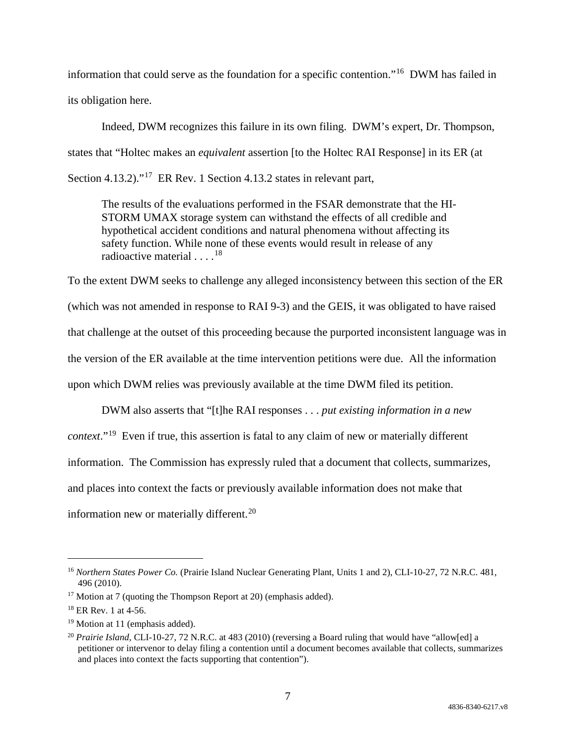information that could serve as the foundation for a specific contention."[16](#page-6-0) DWM has failed in its obligation here.

Indeed, DWM recognizes this failure in its own filing. DWM's expert, Dr. Thompson, states that "Holtec makes an *equivalent* assertion [to the Holtec RAI Response] in its ER (at Section 4.13.2)."<sup>[17](#page-6-1)</sup> ER Rev. 1 Section 4.13.2 states in relevant part,

The results of the evaluations performed in the FSAR demonstrate that the HI-STORM UMAX storage system can withstand the effects of all credible and hypothetical accident conditions and natural phenomena without affecting its safety function. While none of these events would result in release of any radioactive material  $18$ 

To the extent DWM seeks to challenge any alleged inconsistency between this section of the ER (which was not amended in response to RAI 9-3) and the GEIS, it was obligated to have raised that challenge at the outset of this proceeding because the purported inconsistent language was in the version of the ER available at the time intervention petitions were due. All the information upon which DWM relies was previously available at the time DWM filed its petition.

DWM also asserts that "[t]he RAI responses . . . *put existing information in a new context*."[19](#page-6-3) Even if true, this assertion is fatal to any claim of new or materially different information. The Commission has expressly ruled that a document that collects, summarizes, and places into context the facts or previously available information does not make that information new or materially different.<sup>[20](#page-6-4)</sup>

<span id="page-6-0"></span> <sup>16</sup> *Northern States Power Co.* (Prairie Island Nuclear Generating Plant, Units 1 and 2), CLI-10-27, 72 N.R.C. 481, 496 (2010).

<span id="page-6-1"></span><sup>&</sup>lt;sup>17</sup> Motion at 7 (quoting the Thompson Report at 20) (emphasis added).

<span id="page-6-2"></span><sup>18</sup> ER Rev. 1 at 4-56.

<span id="page-6-3"></span><sup>&</sup>lt;sup>19</sup> Motion at 11 (emphasis added).

<span id="page-6-4"></span><sup>&</sup>lt;sup>20</sup> *Prairie Island*, CLI-10-27, 72 N.R.C. at 483 (2010) (reversing a Board ruling that would have "allow[ed] a petitioner or intervenor to delay filing a contention until a document becomes available that collects, summarizes and places into context the facts supporting that contention").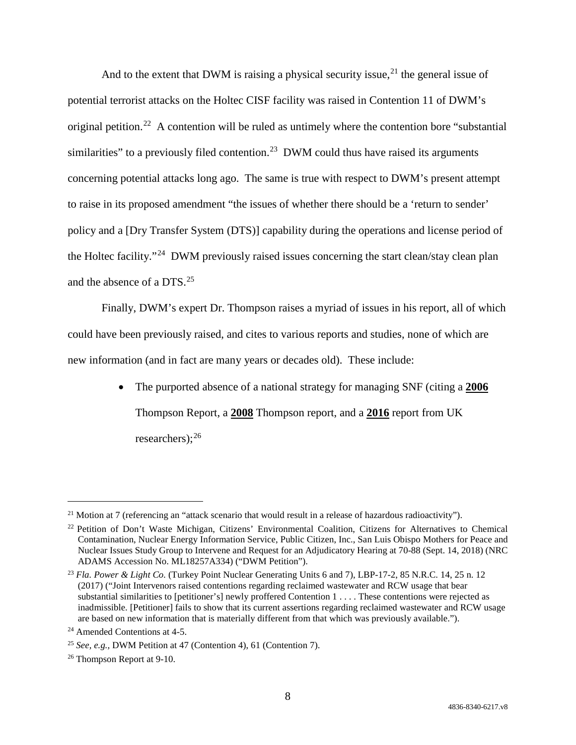And to the extent that DWM is raising a physical security issue,  $2<sup>1</sup>$  the general issue of potential terrorist attacks on the Holtec CISF facility was raised in Contention 11 of DWM's original petition.<sup>22</sup> A contention will be ruled as untimely where the contention bore "substantial similarities" to a previously filed contention.<sup>[23](#page-7-2)</sup> DWM could thus have raised its arguments concerning potential attacks long ago. The same is true with respect to DWM's present attempt to raise in its proposed amendment "the issues of whether there should be a 'return to sender' policy and a [Dry Transfer System (DTS)] capability during the operations and license period of the Holtec facility."[24](#page-7-3) DWM previously raised issues concerning the start clean/stay clean plan and the absence of a DTS. [25](#page-7-4) 

Finally, DWM's expert Dr. Thompson raises a myriad of issues in his report, all of which could have been previously raised, and cites to various reports and studies, none of which are new information (and in fact are many years or decades old). These include:

> • The purported absence of a national strategy for managing SNF (citing a **2006** Thompson Report, a **2008** Thompson report, and a **2016** report from UK researchers); $^{26}$  $^{26}$  $^{26}$

<span id="page-7-0"></span><sup>&</sup>lt;sup>21</sup> Motion at 7 (referencing an "attack scenario that would result in a release of hazardous radioactivity").

<span id="page-7-1"></span><sup>22</sup> Petition of Don't Waste Michigan, Citizens' Environmental Coalition, Citizens for Alternatives to Chemical Contamination, Nuclear Energy Information Service, Public Citizen, Inc., San Luis Obispo Mothers for Peace and Nuclear Issues Study Group to Intervene and Request for an Adjudicatory Hearing at 70-88 (Sept. 14, 2018) (NRC ADAMS Accession No. ML18257A334) ("DWM Petition").

<span id="page-7-2"></span><sup>23</sup> *Fla. Power & Light Co.* (Turkey Point Nuclear Generating Units 6 and 7), LBP-17-2, 85 N.R.C. 14, 25 n. 12 (2017) ("Joint Intervenors raised contentions regarding reclaimed wastewater and RCW usage that bear substantial similarities to [petitioner's] newly proffered Contention 1 . . . . These contentions were rejected as inadmissible. [Petitioner] fails to show that its current assertions regarding reclaimed wastewater and RCW usage are based on new information that is materially different from that which was previously available.").

<span id="page-7-3"></span><sup>24</sup> Amended Contentions at 4-5.

<span id="page-7-4"></span><sup>25</sup> *See, e.g.,* DWM Petition at 47 (Contention 4), 61 (Contention 7).

<span id="page-7-5"></span><sup>26</sup> Thompson Report at 9-10.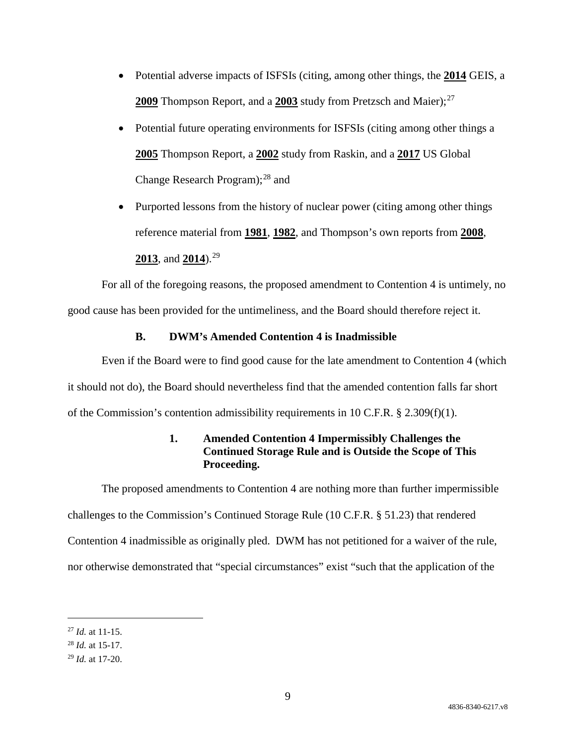- Potential adverse impacts of ISFSIs (citing, among other things, the **2014** GEIS, a **2009** Thompson Report, and a **2003** study from Pretzsch and Maier); [27](#page-8-0)
- Potential future operating environments for ISFSIs (citing among other things a **2005** Thompson Report, a **2002** study from Raskin, and a **2017** US Global Change Research Program); $^{28}$  $^{28}$  $^{28}$  and
- Purported lessons from the history of nuclear power (citing among other things reference material from **1981**, **1982**, and Thompson's own reports from **2008**, **2013**, and **2014**).[29](#page-8-2)

For all of the foregoing reasons, the proposed amendment to Contention 4 is untimely, no good cause has been provided for the untimeliness, and the Board should therefore reject it.

### **B. DWM's Amended Contention 4 is Inadmissible**

Even if the Board were to find good cause for the late amendment to Contention 4 (which it should not do), the Board should nevertheless find that the amended contention falls far short of the Commission's contention admissibility requirements in 10 C.F.R.  $\S$  2.309(f)(1).

# **1. Amended Contention 4 Impermissibly Challenges the Continued Storage Rule and is Outside the Scope of This Proceeding.**

The proposed amendments to Contention 4 are nothing more than further impermissible challenges to the Commission's Continued Storage Rule (10 C.F.R. § 51.23) that rendered Contention 4 inadmissible as originally pled. DWM has not petitioned for a waiver of the rule, nor otherwise demonstrated that "special circumstances" exist "such that the application of the

<span id="page-8-0"></span> <sup>27</sup> *Id.* at 11-15.

<span id="page-8-1"></span><sup>28</sup> *Id.* at 15-17.

<span id="page-8-2"></span><sup>29</sup> *Id.* at 17-20.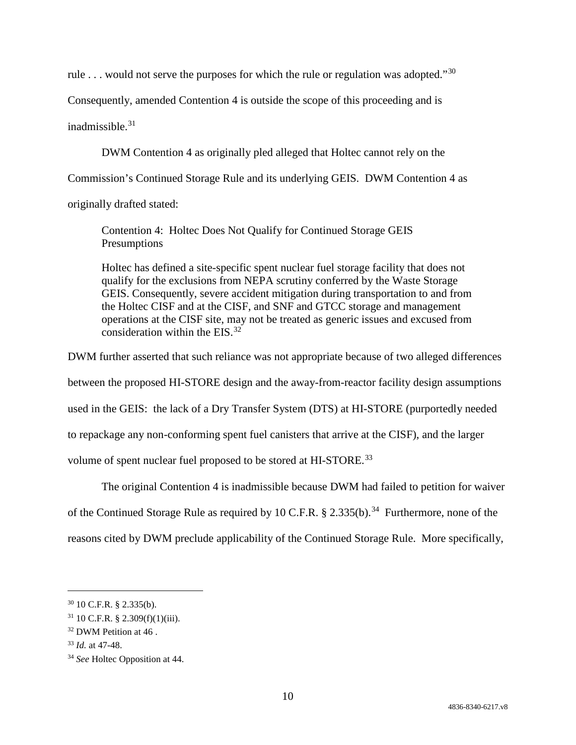rule  $\ldots$  would not serve the purposes for which the rule or regulation was adopted."<sup>[30](#page-9-0)</sup>

Consequently, amended Contention 4 is outside the scope of this proceeding and is

inadmissible $31$ 

DWM Contention 4 as originally pled alleged that Holtec cannot rely on the

Commission's Continued Storage Rule and its underlying GEIS. DWM Contention 4 as

originally drafted stated:

Contention 4: Holtec Does Not Qualify for Continued Storage GEIS Presumptions

Holtec has defined a site-specific spent nuclear fuel storage facility that does not qualify for the exclusions from NEPA scrutiny conferred by the Waste Storage GEIS. Consequently, severe accident mitigation during transportation to and from the Holtec CISF and at the CISF, and SNF and GTCC storage and management operations at the CISF site, may not be treated as generic issues and excused from consideration within the EIS. $32$ 

DWM further asserted that such reliance was not appropriate because of two alleged differences between the proposed HI-STORE design and the away-from-reactor facility design assumptions used in the GEIS: the lack of a Dry Transfer System (DTS) at HI-STORE (purportedly needed to repackage any non-conforming spent fuel canisters that arrive at the CISF), and the larger volume of spent nuclear fuel proposed to be stored at HI-STORE.<sup>[33](#page-9-3)</sup>

The original Contention 4 is inadmissible because DWM had failed to petition for waiver

of the Continued Storage Rule as required by 10 C.F.R.  $\S 2.335(b).^{34}$  $\S 2.335(b).^{34}$  $\S 2.335(b).^{34}$  Furthermore, none of the

reasons cited by DWM preclude applicability of the Continued Storage Rule. More specifically,

<span id="page-9-0"></span> <sup>30</sup> 10 C.F.R. § 2.335(b).

<span id="page-9-1"></span> $31$  10 C.F.R. § 2.309(f)(1)(iii).

<span id="page-9-2"></span><sup>&</sup>lt;sup>32</sup> DWM Petition at 46.

<span id="page-9-3"></span><sup>33</sup> *Id.* at 47-48.

<span id="page-9-4"></span><sup>34</sup> *See* Holtec Opposition at 44.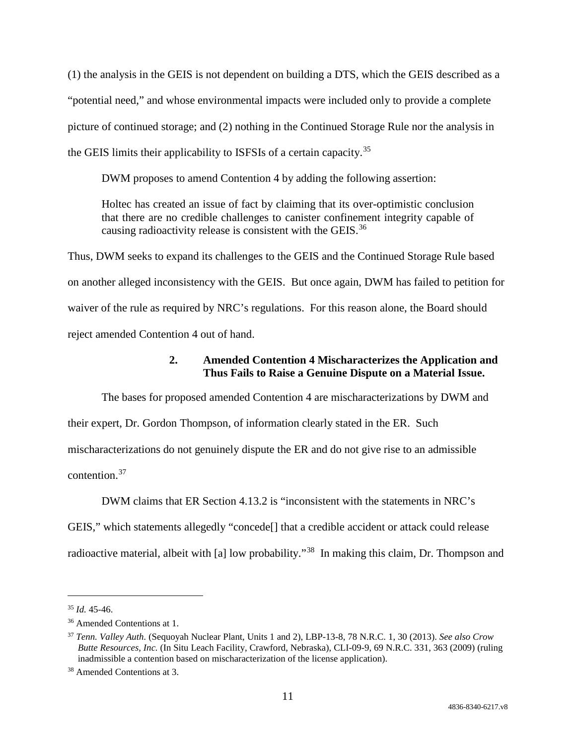(1) the analysis in the GEIS is not dependent on building a DTS, which the GEIS described as a "potential need," and whose environmental impacts were included only to provide a complete picture of continued storage; and (2) nothing in the Continued Storage Rule nor the analysis in the GEIS limits their applicability to ISFSIs of a certain capacity.[35](#page-10-0)

DWM proposes to amend Contention 4 by adding the following assertion:

Holtec has created an issue of fact by claiming that its over-optimistic conclusion that there are no credible challenges to canister confinement integrity capable of causing radioactivity release is consistent with the GEIS.<sup>[36](#page-10-1)</sup>

Thus, DWM seeks to expand its challenges to the GEIS and the Continued Storage Rule based on another alleged inconsistency with the GEIS. But once again, DWM has failed to petition for waiver of the rule as required by NRC's regulations. For this reason alone, the Board should reject amended Contention 4 out of hand.

# **2. Amended Contention 4 Mischaracterizes the Application and Thus Fails to Raise a Genuine Dispute on a Material Issue.**

The bases for proposed amended Contention 4 are mischaracterizations by DWM and their expert, Dr. Gordon Thompson, of information clearly stated in the ER. Such mischaracterizations do not genuinely dispute the ER and do not give rise to an admissible contention.[37](#page-10-2)

DWM claims that ER Section 4.13.2 is "inconsistent with the statements in NRC's GEIS," which statements allegedly "concede[] that a credible accident or attack could release radioactive material, albeit with [a] low probability."<sup>38</sup> In making this claim, Dr. Thompson and

<span id="page-10-0"></span> <sup>35</sup> *Id.* 45-46.

<span id="page-10-1"></span><sup>36</sup> Amended Contentions at 1.

<span id="page-10-2"></span><sup>37</sup> *Tenn. Valley Auth.* (Sequoyah Nuclear Plant, Units 1 and 2), LBP-13-8, 78 N.R.C. 1, 30 (2013). *See also Crow Butte Resources, Inc.* (In Situ Leach Facility, Crawford, Nebraska), CLI-09-9, 69 N.R.C. 331, 363 (2009) (ruling inadmissible a contention based on mischaracterization of the license application).

<span id="page-10-3"></span><sup>38</sup> Amended Contentions at 3.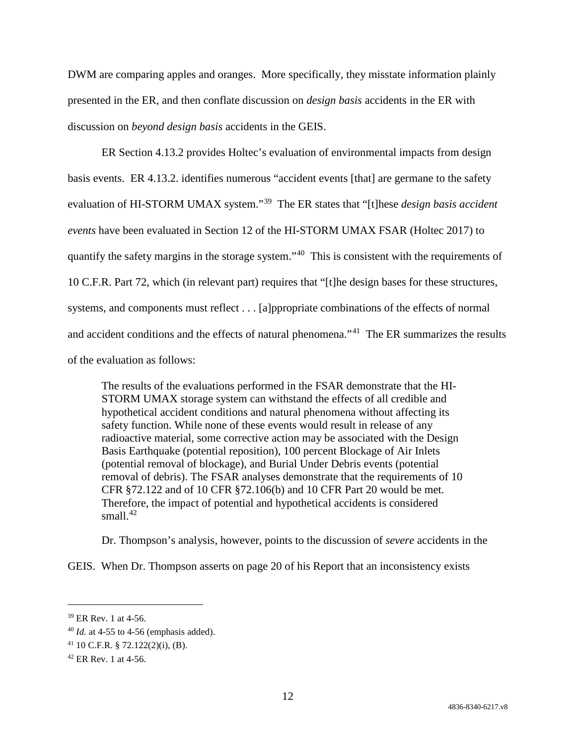DWM are comparing apples and oranges. More specifically, they misstate information plainly presented in the ER, and then conflate discussion on *design basis* accidents in the ER with discussion on *beyond design basis* accidents in the GEIS.

ER Section 4.13.2 provides Holtec's evaluation of environmental impacts from design basis events. ER 4.13.2. identifies numerous "accident events [that] are germane to the safety evaluation of HI-STORM UMAX system."[39](#page-11-0) The ER states that "[t]hese *design basis accident events* have been evaluated in Section 12 of the HI-STORM UMAX FSAR (Holtec 2017) to quantify the safety margins in the storage system."[40](#page-11-1) This is consistent with the requirements of 10 C.F.R. Part 72, which (in relevant part) requires that "[t]he design bases for these structures, systems, and components must reflect . . . [a]ppropriate combinations of the effects of normal and accident conditions and the effects of natural phenomena."<sup>[41](#page-11-2)</sup> The ER summarizes the results of the evaluation as follows:

The results of the evaluations performed in the FSAR demonstrate that the HI-STORM UMAX storage system can withstand the effects of all credible and hypothetical accident conditions and natural phenomena without affecting its safety function. While none of these events would result in release of any radioactive material, some corrective action may be associated with the Design Basis Earthquake (potential reposition), 100 percent Blockage of Air Inlets (potential removal of blockage), and Burial Under Debris events (potential removal of debris). The FSAR analyses demonstrate that the requirements of 10 CFR §72.122 and of 10 CFR §72.106(b) and 10 CFR Part 20 would be met. Therefore, the impact of potential and hypothetical accidents is considered small $^{42}$  $^{42}$  $^{42}$ 

Dr. Thompson's analysis, however, points to the discussion of *severe* accidents in the

GEIS. When Dr. Thompson asserts on page 20 of his Report that an inconsistency exists

<span id="page-11-0"></span> <sup>39</sup> ER Rev. 1 at 4-56.

<span id="page-11-1"></span><sup>40</sup> *Id.* at 4-55 to 4-56 (emphasis added).

<span id="page-11-2"></span> $41$  10 C.F.R. § 72.122(2)(i), (B).

<span id="page-11-3"></span> $42$  ER Rev. 1 at 4-56.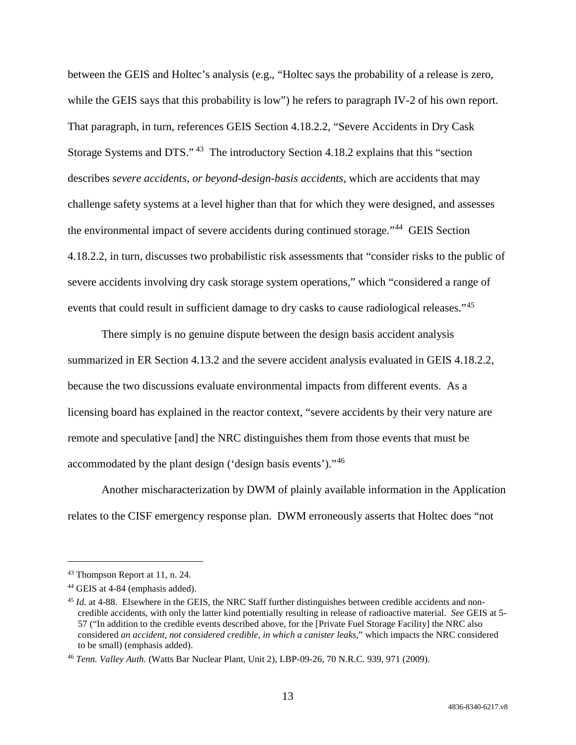between the GEIS and Holtec's analysis (e.g., "Holtec says the probability of a release is zero, while the GEIS says that this probability is low") he refers to paragraph IV-2 of his own report. That paragraph, in turn, references GEIS Section 4.18.2.2, "Severe Accidents in Dry Cask Storage Systems and DTS." [43](#page-12-0) The introductory Section 4.18.2 explains that this "section describes *severe accidents, or beyond-design-basis accidents*, which are accidents that may challenge safety systems at a level higher than that for which they were designed, and assesses the environmental impact of severe accidents during continued storage."[44](#page-12-1) GEIS Section 4.18.2.2, in turn, discusses two probabilistic risk assessments that "consider risks to the public of severe accidents involving dry cask storage system operations," which "considered a range of events that could result in sufficient damage to dry casks to cause radiological releases."<sup>[45](#page-12-2)</sup>

There simply is no genuine dispute between the design basis accident analysis summarized in ER Section 4.13.2 and the severe accident analysis evaluated in GEIS 4.18.2.2, because the two discussions evaluate environmental impacts from different events. As a licensing board has explained in the reactor context, "severe accidents by their very nature are remote and speculative [and] the NRC distinguishes them from those events that must be accommodated by the plant design ('design basis events')."[46](#page-12-3)

Another mischaracterization by DWM of plainly available information in the Application relates to the CISF emergency response plan. DWM erroneously asserts that Holtec does "not

<span id="page-12-0"></span> <sup>43</sup> Thompson Report at 11, n. 24.

<span id="page-12-1"></span><sup>44</sup> GEIS at 4-84 (emphasis added).

<span id="page-12-2"></span><sup>&</sup>lt;sup>45</sup> *Id.* at 4-88. Elsewhere in the GEIS, the NRC Staff further distinguishes between credible accidents and noncredible accidents, with only the latter kind potentially resulting in release of radioactive material. *See* GEIS at 5- 57 ("In addition to the credible events described above, for the [Private Fuel Storage Facility] the NRC also considered *an accident, not considered credible, in which a canister leaks,*" which impacts the NRC considered to be small) (emphasis added).

<span id="page-12-3"></span><sup>46</sup> *Tenn. Valley Auth.* (Watts Bar Nuclear Plant, Unit 2), LBP-09-26, 70 N.R.C. 939, 971 (2009).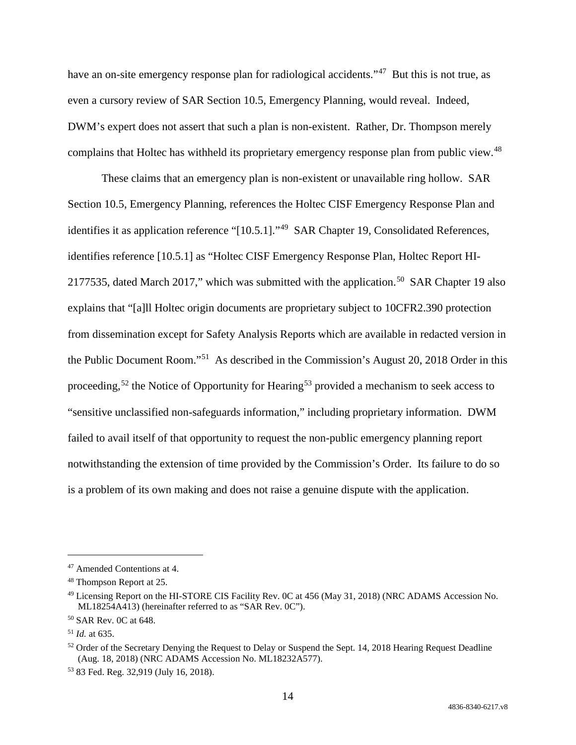have an on-site emergency response plan for radiological accidents."<sup>47</sup> But this is not true, as even a cursory review of SAR Section 10.5, Emergency Planning, would reveal. Indeed, DWM's expert does not assert that such a plan is non-existent. Rather, Dr. Thompson merely complains that Holtec has withheld its proprietary emergency response plan from public view.<sup>[48](#page-13-1)</sup>

These claims that an emergency plan is non-existent or unavailable ring hollow. SAR Section 10.5, Emergency Planning, references the Holtec CISF Emergency Response Plan and identifies it as application reference "[10.5.1]."<sup>49</sup> SAR Chapter 19, Consolidated References, identifies reference [10.5.1] as "Holtec CISF Emergency Response Plan, Holtec Report HI-2177535, dated March 2017," which was submitted with the application.<sup>50</sup> SAR Chapter 19 also explains that "[a]ll Holtec origin documents are proprietary subject to 10CFR2.390 protection from dissemination except for Safety Analysis Reports which are available in redacted version in the Public Document Room."[51](#page-13-4) As described in the Commission's August 20, 2018 Order in this proceeding,<sup>[52](#page-13-5)</sup> the Notice of Opportunity for Hearing<sup>[53](#page-13-6)</sup> provided a mechanism to seek access to "sensitive unclassified non-safeguards information," including proprietary information. DWM failed to avail itself of that opportunity to request the non-public emergency planning report notwithstanding the extension of time provided by the Commission's Order. Its failure to do so is a problem of its own making and does not raise a genuine dispute with the application.

<span id="page-13-0"></span> <sup>47</sup> Amended Contentions at 4.

<span id="page-13-1"></span><sup>48</sup> Thompson Report at 25.

<span id="page-13-2"></span><sup>49</sup> Licensing Report on the HI-STORE CIS Facility Rev. 0C at 456 (May 31, 2018) (NRC ADAMS Accession No. ML18254A413) (hereinafter referred to as "SAR Rev. 0C").

<span id="page-13-3"></span><sup>50</sup> SAR Rev. 0C at 648.

<span id="page-13-4"></span><sup>51</sup> *Id.* at 635.

<span id="page-13-5"></span><sup>&</sup>lt;sup>52</sup> Order of the Secretary Denying the Request to Delay or Suspend the Sept. 14, 2018 Hearing Request Deadline (Aug. 18, 2018) (NRC ADAMS Accession No. ML18232A577).

<span id="page-13-6"></span><sup>53</sup> 83 Fed. Reg. 32,919 (July 16, 2018).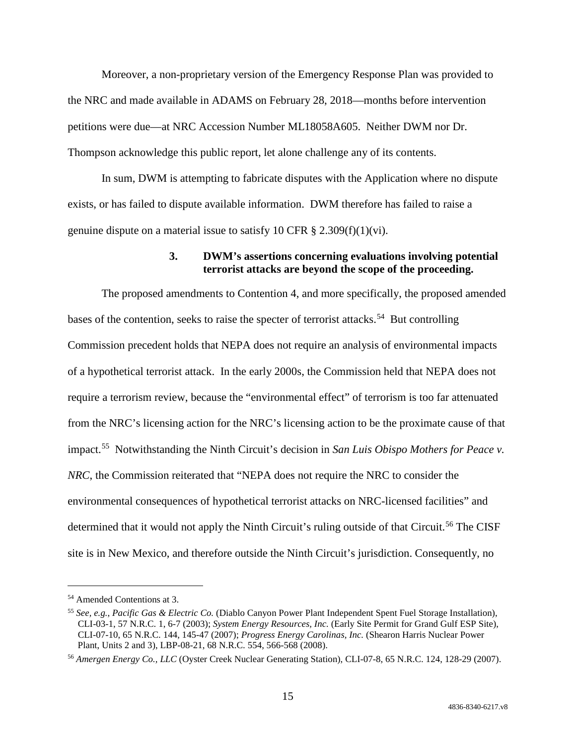Moreover, a non-proprietary version of the Emergency Response Plan was provided to the NRC and made available in ADAMS on February 28, 2018—months before intervention petitions were due—at NRC Accession Number ML18058A605. Neither DWM nor Dr. Thompson acknowledge this public report, let alone challenge any of its contents.

In sum, DWM is attempting to fabricate disputes with the Application where no dispute exists, or has failed to dispute available information. DWM therefore has failed to raise a genuine dispute on a material issue to satisfy 10 CFR  $\S 2.309(f)(1)(vi)$ .

### **3. DWM's assertions concerning evaluations involving potential terrorist attacks are beyond the scope of the proceeding.**

The proposed amendments to Contention 4, and more specifically, the proposed amended bases of the contention, seeks to raise the specter of terrorist attacks.<sup>54</sup> But controlling Commission precedent holds that NEPA does not require an analysis of environmental impacts of a hypothetical terrorist attack. In the early 2000s, the Commission held that NEPA does not require a terrorism review, because the "environmental effect" of terrorism is too far attenuated from the NRC's licensing action for the NRC's licensing action to be the proximate cause of that impact.[55](#page-14-1) Notwithstanding the Ninth Circuit's decision in *San Luis Obispo Mothers for Peace v. NRC*, the Commission reiterated that "NEPA does not require the NRC to consider the environmental consequences of hypothetical terrorist attacks on NRC-licensed facilities" and determined that it would not apply the Ninth Circuit's ruling outside of that Circuit.<sup>[56](#page-14-2)</sup> The CISF site is in New Mexico, and therefore outside the Ninth Circuit's jurisdiction. Consequently, no

<span id="page-14-0"></span> <sup>54</sup> Amended Contentions at 3.

<span id="page-14-1"></span><sup>55</sup> *See, e.g.*, *Pacific Gas & Electric Co.* (Diablo Canyon Power Plant Independent Spent Fuel Storage Installation), CLI-03-1, 57 N.R.C. 1, 6-7 (2003); *System Energy Resources, Inc.* (Early Site Permit for Grand Gulf ESP Site), CLI-07-10, 65 N.R.C. 144, 145-47 (2007); *Progress Energy Carolinas, Inc.* (Shearon Harris Nuclear Power Plant, Units 2 and 3), LBP-08-21, 68 N.R.C. 554, 566-568 (2008).

<span id="page-14-2"></span><sup>56</sup> *Amergen Energy Co., LLC* (Oyster Creek Nuclear Generating Station), CLI-07-8, 65 N.R.C. 124, 128-29 (2007).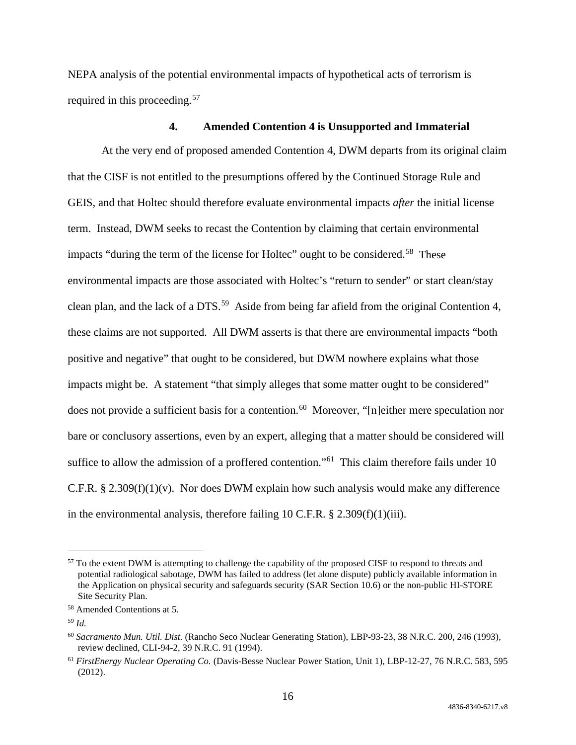NEPA analysis of the potential environmental impacts of hypothetical acts of terrorism is required in this proceeding.<sup>[57](#page-15-0)</sup>

#### **4. Amended Contention 4 is Unsupported and Immaterial**

At the very end of proposed amended Contention 4, DWM departs from its original claim that the CISF is not entitled to the presumptions offered by the Continued Storage Rule and GEIS, and that Holtec should therefore evaluate environmental impacts *after* the initial license term. Instead, DWM seeks to recast the Contention by claiming that certain environmental impacts "during the term of the license for Holtec" ought to be considered.<sup>58</sup> These environmental impacts are those associated with Holtec's "return to sender" or start clean/stay clean plan, and the lack of a DTS.<sup>59</sup> Aside from being far afield from the original Contention 4, these claims are not supported. All DWM asserts is that there are environmental impacts "both positive and negative" that ought to be considered, but DWM nowhere explains what those impacts might be. A statement "that simply alleges that some matter ought to be considered" does not provide a sufficient basis for a contention. [60](#page-15-3) Moreover, "[n]either mere speculation nor bare or conclusory assertions, even by an expert, alleging that a matter should be considered will suffice to allow the admission of a proffered contention."<sup>[61](#page-15-4)</sup> This claim therefore fails under 10 C.F.R. § 2.309(f)(1)(v). Nor does DWM explain how such analysis would make any difference in the environmental analysis, therefore failing 10 C.F.R. § 2.309(f)(1)(iii).

<span id="page-15-0"></span><sup>&</sup>lt;sup>57</sup> To the extent DWM is attempting to challenge the capability of the proposed CISF to respond to threats and potential radiological sabotage, DWM has failed to address (let alone dispute) publicly available information in the Application on physical security and safeguards security (SAR Section 10.6) or the non-public HI-STORE Site Security Plan.

<span id="page-15-1"></span><sup>58</sup> Amended Contentions at 5.

<span id="page-15-2"></span><sup>59</sup> *Id.*

<span id="page-15-3"></span><sup>60</sup> *Sacramento Mun. Util. Dist.* (Rancho Seco Nuclear Generating Station), LBP-93-23, 38 N.R.C. 200, 246 (1993), review declined, CLI-94-2, 39 N.R.C. 91 (1994).

<span id="page-15-4"></span><sup>61</sup> *FirstEnergy Nuclear Operating Co.* (Davis-Besse Nuclear Power Station, Unit 1), LBP-12-27, 76 N.R.C. 583, 595 (2012).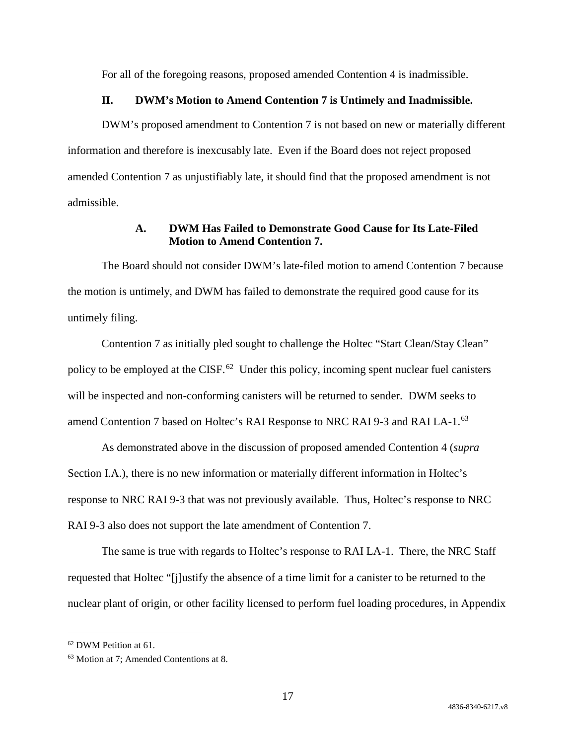For all of the foregoing reasons, proposed amended Contention 4 is inadmissible.

#### **II. DWM's Motion to Amend Contention 7 is Untimely and Inadmissible.**

DWM's proposed amendment to Contention 7 is not based on new or materially different information and therefore is inexcusably late. Even if the Board does not reject proposed amended Contention 7 as unjustifiably late, it should find that the proposed amendment is not admissible.

# **A. DWM Has Failed to Demonstrate Good Cause for Its Late-Filed Motion to Amend Contention 7.**

The Board should not consider DWM's late-filed motion to amend Contention 7 because the motion is untimely, and DWM has failed to demonstrate the required good cause for its untimely filing.

Contention 7 as initially pled sought to challenge the Holtec "Start Clean/Stay Clean" policy to be employed at the CISF.<sup>[62](#page-16-0)</sup> Under this policy, incoming spent nuclear fuel canisters will be inspected and non-conforming canisters will be returned to sender. DWM seeks to amend Contention 7 based on Holtec's RAI Response to NRC RAI 9-3 and RAI LA-1.<sup>[63](#page-16-1)</sup>

As demonstrated above in the discussion of proposed amended Contention 4 (*supra* Section I.A.), there is no new information or materially different information in Holtec's response to NRC RAI 9-3 that was not previously available. Thus, Holtec's response to NRC RAI 9-3 also does not support the late amendment of Contention 7.

The same is true with regards to Holtec's response to RAI LA-1. There, the NRC Staff requested that Holtec "[j]ustify the absence of a time limit for a canister to be returned to the nuclear plant of origin, or other facility licensed to perform fuel loading procedures, in Appendix

<span id="page-16-0"></span> <sup>62</sup> DWM Petition at 61.

<span id="page-16-1"></span><sup>63</sup> Motion at 7; Amended Contentions at 8.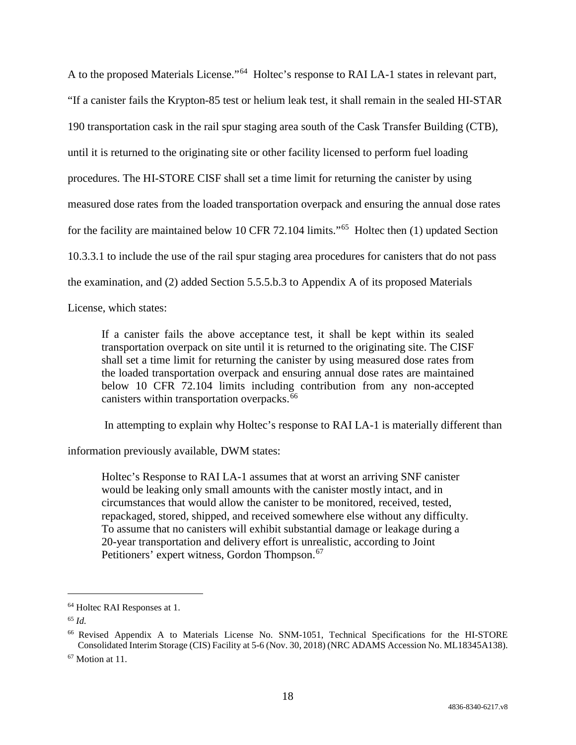A to the proposed Materials License."[64](#page-17-0) Holtec's response to RAI LA-1 states in relevant part, "If a canister fails the Krypton-85 test or helium leak test, it shall remain in the sealed HI-STAR 190 transportation cask in the rail spur staging area south of the Cask Transfer Building (CTB), until it is returned to the originating site or other facility licensed to perform fuel loading procedures. The HI-STORE CISF shall set a time limit for returning the canister by using measured dose rates from the loaded transportation overpack and ensuring the annual dose rates for the facility are maintained below 10 CFR 72.104 limits."[65](#page-17-1) Holtec then (1) updated Section 10.3.3.1 to include the use of the rail spur staging area procedures for canisters that do not pass the examination, and (2) added Section 5.5.5.b.3 to Appendix A of its proposed Materials

License, which states:

If a canister fails the above acceptance test, it shall be kept within its sealed transportation overpack on site until it is returned to the originating site. The CISF shall set a time limit for returning the canister by using measured dose rates from the loaded transportation overpack and ensuring annual dose rates are maintained below 10 CFR 72.104 limits including contribution from any non-accepted canisters within transportation overpacks.<sup>[66](#page-17-2)</sup>

In attempting to explain why Holtec's response to RAI LA-1 is materially different than

information previously available, DWM states:

Holtec's Response to RAI LA-1 assumes that at worst an arriving SNF canister would be leaking only small amounts with the canister mostly intact, and in circumstances that would allow the canister to be monitored, received, tested, repackaged, stored, shipped, and received somewhere else without any difficulty. To assume that no canisters will exhibit substantial damage or leakage during a 20-year transportation and delivery effort is unrealistic, according to Joint Petitioners' expert witness, Gordon Thompson.<sup>[67](#page-17-3)</sup>

<span id="page-17-0"></span> <sup>64</sup> Holtec RAI Responses at 1.

<span id="page-17-1"></span><sup>65</sup> *Id.*

<span id="page-17-2"></span><sup>66</sup> Revised Appendix A to Materials License No. SNM-1051, Technical Specifications for the HI-STORE Consolidated Interim Storage (CIS) Facility at 5-6 (Nov. 30, 2018) (NRC ADAMS Accession No. ML18345A138).

<span id="page-17-3"></span><sup>67</sup> Motion at 11.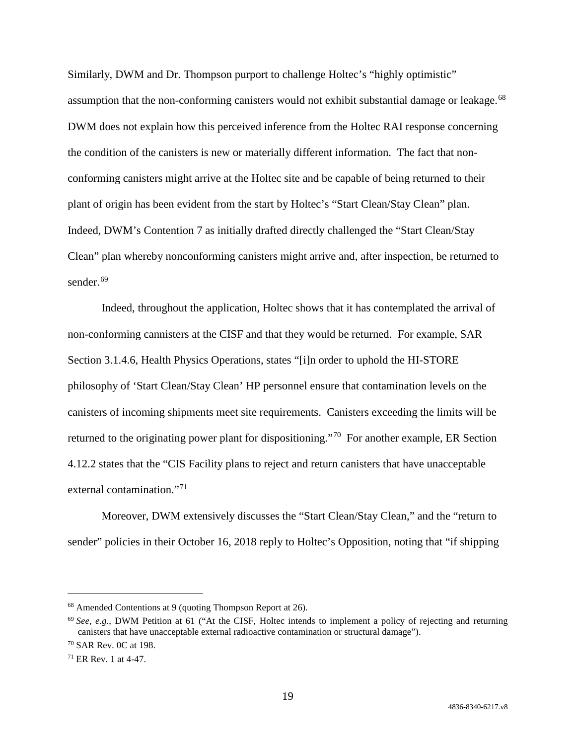Similarly, DWM and Dr. Thompson purport to challenge Holtec's "highly optimistic" assumption that the non-conforming canisters would not exhibit substantial damage or leakage.<sup>68</sup> DWM does not explain how this perceived inference from the Holtec RAI response concerning the condition of the canisters is new or materially different information. The fact that nonconforming canisters might arrive at the Holtec site and be capable of being returned to their plant of origin has been evident from the start by Holtec's "Start Clean/Stay Clean" plan. Indeed, DWM's Contention 7 as initially drafted directly challenged the "Start Clean/Stay Clean" plan whereby nonconforming canisters might arrive and, after inspection, be returned to sender.<sup>[69](#page-18-1)</sup>

Indeed, throughout the application, Holtec shows that it has contemplated the arrival of non-conforming cannisters at the CISF and that they would be returned. For example, SAR Section 3.1.4.6, Health Physics Operations, states "[i]n order to uphold the HI-STORE philosophy of 'Start Clean/Stay Clean' HP personnel ensure that contamination levels on the canisters of incoming shipments meet site requirements. Canisters exceeding the limits will be returned to the originating power plant for dispositioning."<sup>70</sup> For another example, ER Section 4.12.2 states that the "CIS Facility plans to reject and return canisters that have unacceptable external contamination."<sup>[71](#page-18-3)</sup>

Moreover, DWM extensively discusses the "Start Clean/Stay Clean," and the "return to sender" policies in their October 16, 2018 reply to Holtec's Opposition, noting that "if shipping

<span id="page-18-0"></span> <sup>68</sup> Amended Contentions at 9 (quoting Thompson Report at 26).

<span id="page-18-1"></span><sup>&</sup>lt;sup>69</sup> See, e.g., DWM Petition at 61 ("At the CISF, Holtec intends to implement a policy of rejecting and returning canisters that have unacceptable external radioactive contamination or structural damage").

<span id="page-18-2"></span><sup>70</sup> SAR Rev. 0C at 198.

<span id="page-18-3"></span><sup>71</sup> ER Rev. 1 at 4-47.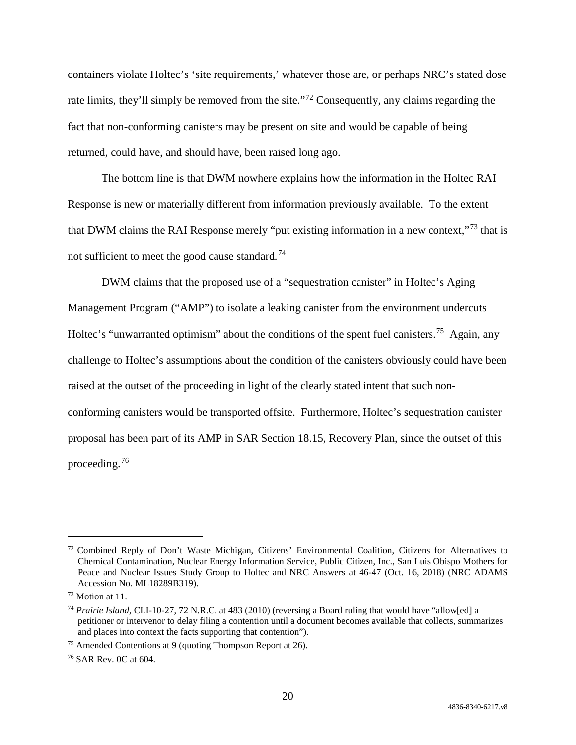containers violate Holtec's 'site requirements,' whatever those are, or perhaps NRC's stated dose rate limits, they'll simply be removed from the site."<sup>[72](#page-19-0)</sup> Consequently, any claims regarding the fact that non-conforming canisters may be present on site and would be capable of being returned, could have, and should have, been raised long ago.

The bottom line is that DWM nowhere explains how the information in the Holtec RAI Response is new or materially different from information previously available. To the extent that DWM claims the RAI Response merely "put existing information in a new context,"[73](#page-19-1) that is not sufficient to meet the good cause standard*.* [74](#page-19-2)

DWM claims that the proposed use of a "sequestration canister" in Holtec's Aging Management Program ("AMP") to isolate a leaking canister from the environment undercuts Holtec's "unwarranted optimism" about the conditions of the spent fuel canisters.<sup>[75](#page-19-3)</sup> Again, any challenge to Holtec's assumptions about the condition of the canisters obviously could have been raised at the outset of the proceeding in light of the clearly stated intent that such nonconforming canisters would be transported offsite. Furthermore, Holtec's sequestration canister proposal has been part of its AMP in SAR Section 18.15, Recovery Plan, since the outset of this proceeding.[76](#page-19-4)

<span id="page-19-0"></span> <sup>72</sup> Combined Reply of Don't Waste Michigan, Citizens' Environmental Coalition, Citizens for Alternatives to Chemical Contamination, Nuclear Energy Information Service, Public Citizen, Inc., San Luis Obispo Mothers for Peace and Nuclear Issues Study Group to Holtec and NRC Answers at 46-47 (Oct. 16, 2018) (NRC ADAMS Accession No. ML18289B319).

<span id="page-19-1"></span><sup>73</sup> Motion at 11.

<span id="page-19-2"></span><sup>74</sup> *Prairie Island*, CLI-10-27, 72 N.R.C. at 483 (2010) (reversing a Board ruling that would have "allow[ed] a petitioner or intervenor to delay filing a contention until a document becomes available that collects, summarizes and places into context the facts supporting that contention").

<span id="page-19-3"></span><sup>75</sup> Amended Contentions at 9 (quoting Thompson Report at 26).

<span id="page-19-4"></span><sup>76</sup> SAR Rev. 0C at 604.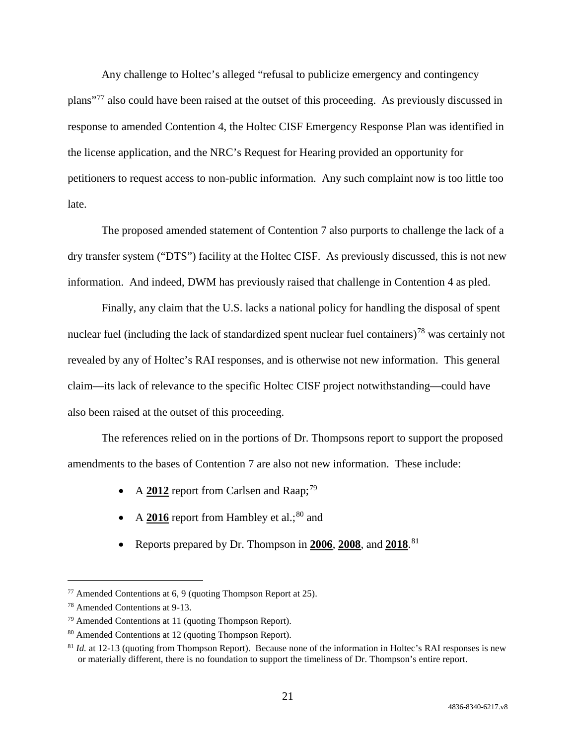Any challenge to Holtec's alleged "refusal to publicize emergency and contingency plans"[77](#page-20-0) also could have been raised at the outset of this proceeding. As previously discussed in response to amended Contention 4, the Holtec CISF Emergency Response Plan was identified in the license application, and the NRC's Request for Hearing provided an opportunity for petitioners to request access to non-public information. Any such complaint now is too little too late.

The proposed amended statement of Contention 7 also purports to challenge the lack of a dry transfer system ("DTS") facility at the Holtec CISF. As previously discussed, this is not new information. And indeed, DWM has previously raised that challenge in Contention 4 as pled.

Finally, any claim that the U.S. lacks a national policy for handling the disposal of spent nuclear fuel (including the lack of standardized spent nuclear fuel containers)<sup>[78](#page-20-1)</sup> was certainly not revealed by any of Holtec's RAI responses, and is otherwise not new information. This general claim—its lack of relevance to the specific Holtec CISF project notwithstanding—could have also been raised at the outset of this proceeding.

The references relied on in the portions of Dr. Thompsons report to support the proposed amendments to the bases of Contention 7 are also not new information. These include:

- A **2012** report from Carlsen and Raap;<sup>[79](#page-20-2)</sup>
- A **2016** report from Hambley et al.;<sup>[80](#page-20-3)</sup> and
- Reports prepared by Dr. Thompson in **2006**, **2008**, and **2018**. [81](#page-20-4)

<span id="page-20-0"></span> <sup>77</sup> Amended Contentions at 6, 9 (quoting Thompson Report at 25).

<span id="page-20-1"></span><sup>78</sup> Amended Contentions at 9-13.

<span id="page-20-2"></span> $79$  Amended Contentions at 11 (quoting Thompson Report).

<span id="page-20-3"></span><sup>80</sup> Amended Contentions at 12 (quoting Thompson Report).

<span id="page-20-4"></span> $81$  *Id.* at 12-13 (quoting from Thompson Report). Because none of the information in Holtec's RAI responses is new or materially different, there is no foundation to support the timeliness of Dr. Thompson's entire report.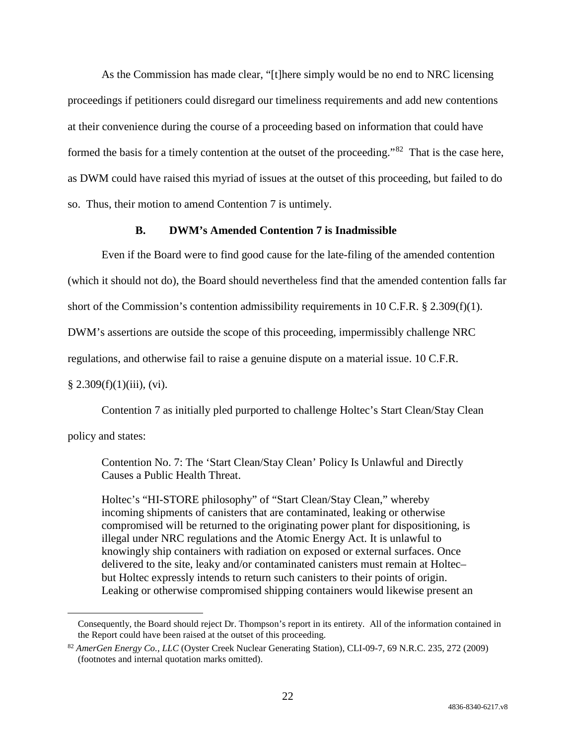As the Commission has made clear, "[t]here simply would be no end to NRC licensing proceedings if petitioners could disregard our timeliness requirements and add new contentions at their convenience during the course of a proceeding based on information that could have formed the basis for a timely contention at the outset of the proceeding."<sup>82</sup> That is the case here, as DWM could have raised this myriad of issues at the outset of this proceeding, but failed to do so. Thus, their motion to amend Contention 7 is untimely.

### **B. DWM's Amended Contention 7 is Inadmissible**

Even if the Board were to find good cause for the late-filing of the amended contention

(which it should not do), the Board should nevertheless find that the amended contention falls far

short of the Commission's contention admissibility requirements in 10 C.F.R.  $\S$  2.309(f)(1).

DWM's assertions are outside the scope of this proceeding, impermissibly challenge NRC

regulations, and otherwise fail to raise a genuine dispute on a material issue. 10 C.F.R.

#### $§ 2.309(f)(1)(iii)$ , (vi).

Contention 7 as initially pled purported to challenge Holtec's Start Clean/Stay Clean

policy and states:

Contention No. 7: The 'Start Clean/Stay Clean' Policy Is Unlawful and Directly Causes a Public Health Threat.

Holtec's "HI-STORE philosophy" of "Start Clean/Stay Clean," whereby incoming shipments of canisters that are contaminated, leaking or otherwise compromised will be returned to the originating power plant for dispositioning, is illegal under NRC regulations and the Atomic Energy Act. It is unlawful to knowingly ship containers with radiation on exposed or external surfaces. Once delivered to the site, leaky and/or contaminated canisters must remain at Holtec– but Holtec expressly intends to return such canisters to their points of origin. Leaking or otherwise compromised shipping containers would likewise present an

Consequently, the Board should reject Dr. Thompson's report in its entirety. All of the information contained in the Report could have been raised at the outset of this proceeding.

<span id="page-21-0"></span><sup>82</sup> *AmerGen Energy Co., LLC* (Oyster Creek Nuclear Generating Station), CLI-09-7, 69 N.R.C. 235, 272 (2009) (footnotes and internal quotation marks omitted).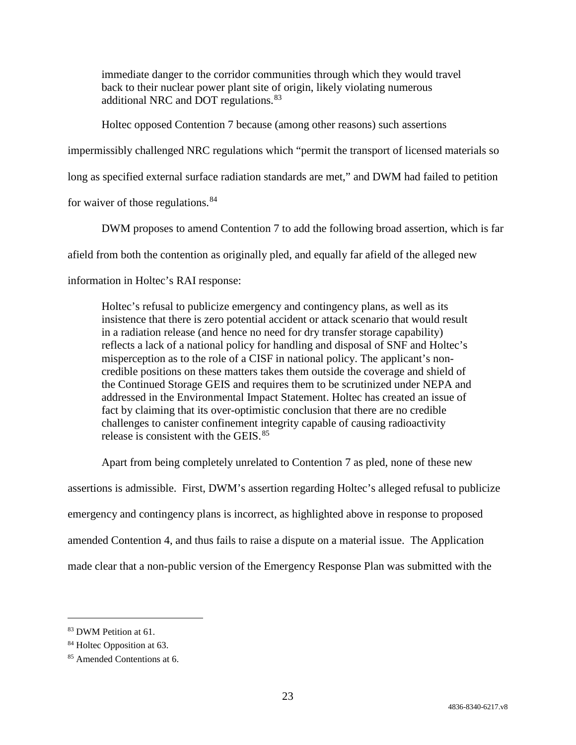immediate danger to the corridor communities through which they would travel back to their nuclear power plant site of origin, likely violating numerous additional NRC and DOT regulations.<sup>[83](#page-22-0)</sup>

Holtec opposed Contention 7 because (among other reasons) such assertions

impermissibly challenged NRC regulations which "permit the transport of licensed materials so

long as specified external surface radiation standards are met," and DWM had failed to petition

for waiver of those regulations.<sup>[84](#page-22-1)</sup>

DWM proposes to amend Contention 7 to add the following broad assertion, which is far

afield from both the contention as originally pled, and equally far afield of the alleged new

information in Holtec's RAI response:

Holtec's refusal to publicize emergency and contingency plans, as well as its insistence that there is zero potential accident or attack scenario that would result in a radiation release (and hence no need for dry transfer storage capability) reflects a lack of a national policy for handling and disposal of SNF and Holtec's misperception as to the role of a CISF in national policy. The applicant's noncredible positions on these matters takes them outside the coverage and shield of the Continued Storage GEIS and requires them to be scrutinized under NEPA and addressed in the Environmental Impact Statement. Holtec has created an issue of fact by claiming that its over-optimistic conclusion that there are no credible challenges to canister confinement integrity capable of causing radioactivity release is consistent with the GEIS.<sup>[85](#page-22-2)</sup>

Apart from being completely unrelated to Contention 7 as pled, none of these new assertions is admissible. First, DWM's assertion regarding Holtec's alleged refusal to publicize emergency and contingency plans is incorrect, as highlighted above in response to proposed amended Contention 4, and thus fails to raise a dispute on a material issue. The Application made clear that a non-public version of the Emergency Response Plan was submitted with the

<span id="page-22-0"></span><sup>83</sup> DWM Petition at 61.

<span id="page-22-1"></span><sup>&</sup>lt;sup>84</sup> Holtec Opposition at 63.

<span id="page-22-2"></span><sup>85</sup> Amended Contentions at 6.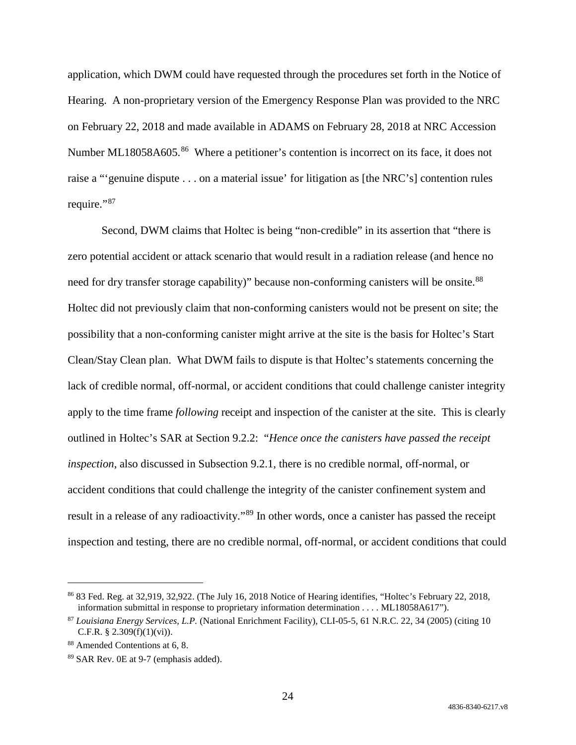application, which DWM could have requested through the procedures set forth in the Notice of Hearing. A non-proprietary version of the Emergency Response Plan was provided to the NRC on February 22, 2018 and made available in ADAMS on February 28, 2018 at NRC Accession Number ML18058A605.<sup>86</sup> Where a petitioner's contention is incorrect on its face, it does not raise a "'genuine dispute . . . on a material issue' for litigation as [the NRC's] contention rules require."<sup>[87](#page-23-1)</sup>

Second, DWM claims that Holtec is being "non-credible" in its assertion that "there is zero potential accident or attack scenario that would result in a radiation release (and hence no need for dry transfer storage capability)" because non-conforming canisters will be onsite.<sup>[88](#page-23-2)</sup> Holtec did not previously claim that non-conforming canisters would not be present on site; the possibility that a non-conforming canister might arrive at the site is the basis for Holtec's Start Clean/Stay Clean plan. What DWM fails to dispute is that Holtec's statements concerning the lack of credible normal, off-normal, or accident conditions that could challenge canister integrity apply to the time frame *following* receipt and inspection of the canister at the site. This is clearly outlined in Holtec's SAR at Section 9.2.2: "*Hence once the canisters have passed the receipt inspection*, also discussed in Subsection 9.2.1, there is no credible normal, off-normal, or accident conditions that could challenge the integrity of the canister confinement system and result in a release of any radioactivity."<sup>[89](#page-23-3)</sup> In other words, once a canister has passed the receipt inspection and testing, there are no credible normal, off-normal, or accident conditions that could

<span id="page-23-0"></span> <sup>86</sup> 83 Fed. Reg. at 32,919, 32,922. (The July 16, 2018 Notice of Hearing identifies, "Holtec's February 22, 2018, information submittal in response to proprietary information determination . . . . ML18058A617").

<span id="page-23-1"></span><sup>87</sup> *Louisiana Energy Services, L.P.* (National Enrichment Facility), CLI-05-5, 61 N.R.C. 22, 34 (2005) (citing 10 C.F.R.  $§ 2.309(f)(1)(vi)$ .

<span id="page-23-2"></span><sup>88</sup> Amended Contentions at 6, 8.

<span id="page-23-3"></span><sup>89</sup> SAR Rev. 0E at 9-7 (emphasis added).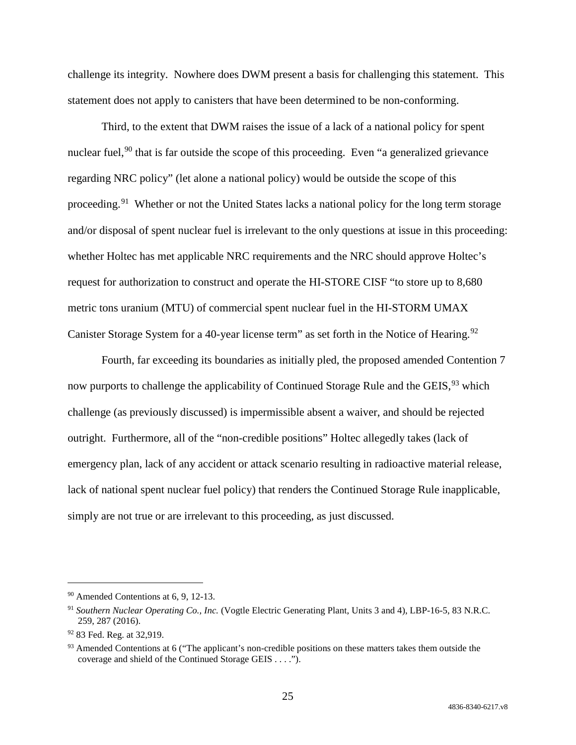challenge its integrity. Nowhere does DWM present a basis for challenging this statement. This statement does not apply to canisters that have been determined to be non-conforming.

Third, to the extent that DWM raises the issue of a lack of a national policy for spent nuclear fuel,<sup>[90](#page-24-0)</sup> that is far outside the scope of this proceeding. Even "a generalized grievance regarding NRC policy" (let alone a national policy) would be outside the scope of this proceeding.<sup>[91](#page-24-1)</sup> Whether or not the United States lacks a national policy for the long term storage and/or disposal of spent nuclear fuel is irrelevant to the only questions at issue in this proceeding: whether Holtec has met applicable NRC requirements and the NRC should approve Holtec's request for authorization to construct and operate the HI-STORE CISF "to store up to 8,680 metric tons uranium (MTU) of commercial spent nuclear fuel in the HI-STORM UMAX Canister Storage System for a 40-year license term" as set forth in the Notice of Hearing.<sup>[92](#page-24-2)</sup>

Fourth, far exceeding its boundaries as initially pled, the proposed amended Contention 7 now purports to challenge the applicability of Continued Storage Rule and the GEIS,<sup>[93](#page-24-3)</sup> which challenge (as previously discussed) is impermissible absent a waiver, and should be rejected outright. Furthermore, all of the "non-credible positions" Holtec allegedly takes (lack of emergency plan, lack of any accident or attack scenario resulting in radioactive material release, lack of national spent nuclear fuel policy) that renders the Continued Storage Rule inapplicable, simply are not true or are irrelevant to this proceeding, as just discussed.

<span id="page-24-0"></span> <sup>90</sup> Amended Contentions at 6, 9, 12-13.

<span id="page-24-1"></span><sup>91</sup> *Southern Nuclear Operating Co., Inc.* (Vogtle Electric Generating Plant, Units 3 and 4), LBP-16-5, 83 N.R.C. 259, 287 (2016).

<span id="page-24-2"></span><sup>92 83</sup> Fed. Reg. at 32,919.

<span id="page-24-3"></span><sup>&</sup>lt;sup>93</sup> Amended Contentions at 6 ("The applicant's non-credible positions on these matters takes them outside the coverage and shield of the Continued Storage GEIS . . . .").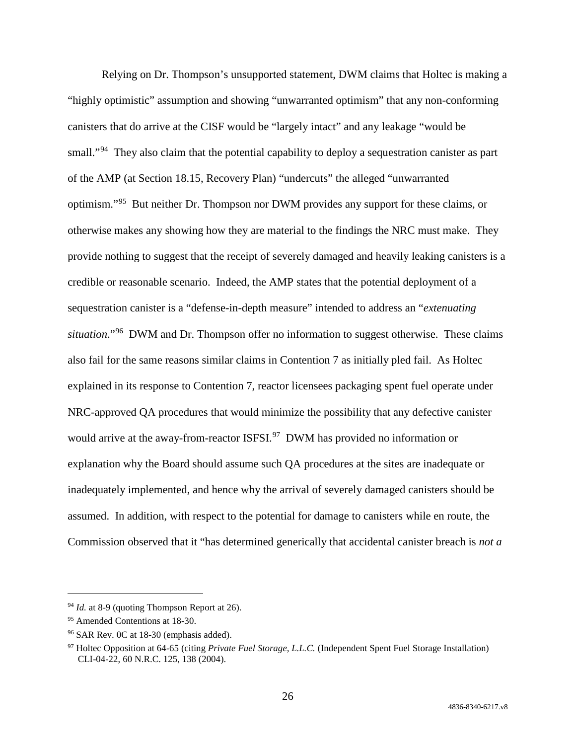Relying on Dr. Thompson's unsupported statement, DWM claims that Holtec is making a "highly optimistic" assumption and showing "unwarranted optimism" that any non-conforming canisters that do arrive at the CISF would be "largely intact" and any leakage "would be small."<sup>94</sup> They also claim that the potential capability to deploy a sequestration canister as part of the AMP (at Section 18.15, Recovery Plan) "undercuts" the alleged "unwarranted optimism."[95](#page-25-1) But neither Dr. Thompson nor DWM provides any support for these claims, or otherwise makes any showing how they are material to the findings the NRC must make. They provide nothing to suggest that the receipt of severely damaged and heavily leaking canisters is a credible or reasonable scenario. Indeed, the AMP states that the potential deployment of a sequestration canister is a "defense-in-depth measure" intended to address an "*extenuating situation*."[96](#page-25-2) DWM and Dr. Thompson offer no information to suggest otherwise. These claims also fail for the same reasons similar claims in Contention 7 as initially pled fail. As Holtec explained in its response to Contention 7, reactor licensees packaging spent fuel operate under NRC-approved QA procedures that would minimize the possibility that any defective canister would arrive at the away-from-reactor ISFSI.<sup>97</sup> DWM has provided no information or explanation why the Board should assume such QA procedures at the sites are inadequate or inadequately implemented, and hence why the arrival of severely damaged canisters should be assumed. In addition, with respect to the potential for damage to canisters while en route, the Commission observed that it "has determined generically that accidental canister breach is *not a* 

<span id="page-25-0"></span><sup>&</sup>lt;sup>94</sup> *Id.* at 8-9 (quoting Thompson Report at 26).

<span id="page-25-1"></span><sup>95</sup> Amended Contentions at 18-30.

<span id="page-25-2"></span><sup>96</sup> SAR Rev. 0C at 18-30 (emphasis added).

<span id="page-25-3"></span><sup>97</sup> Holtec Opposition at 64-65 (citing *Private Fuel Storage, L.L.C.* (Independent Spent Fuel Storage Installation) CLI-04-22, 60 N.R.C. 125, 138 (2004).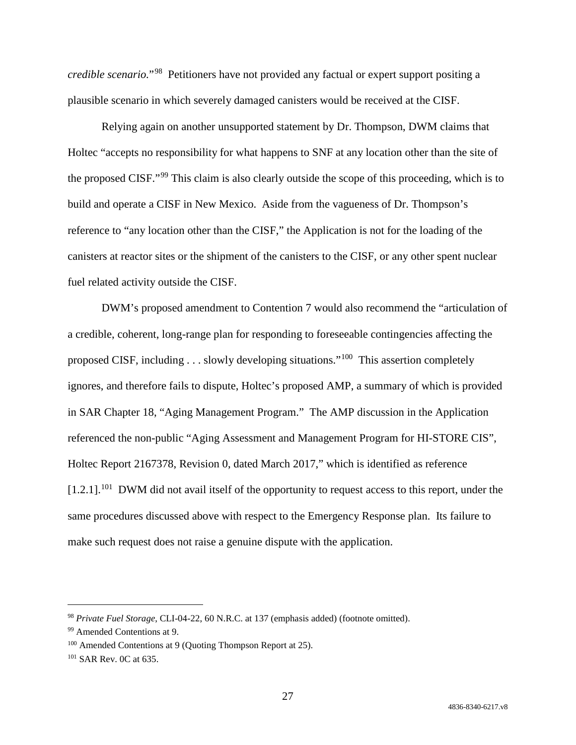*credible scenario.*"[98](#page-26-0) Petitioners have not provided any factual or expert support positing a plausible scenario in which severely damaged canisters would be received at the CISF.

Relying again on another unsupported statement by Dr. Thompson, DWM claims that Holtec "accepts no responsibility for what happens to SNF at any location other than the site of the proposed CISF."[99](#page-26-1) This claim is also clearly outside the scope of this proceeding, which is to build and operate a CISF in New Mexico. Aside from the vagueness of Dr. Thompson's reference to "any location other than the CISF," the Application is not for the loading of the canisters at reactor sites or the shipment of the canisters to the CISF, or any other spent nuclear fuel related activity outside the CISF.

DWM's proposed amendment to Contention 7 would also recommend the "articulation of a credible, coherent, long-range plan for responding to foreseeable contingencies affecting the proposed CISF, including  $\dots$  slowly developing situations."<sup>[100](#page-26-2)</sup> This assertion completely ignores, and therefore fails to dispute, Holtec's proposed AMP, a summary of which is provided in SAR Chapter 18, "Aging Management Program." The AMP discussion in the Application referenced the non-public "Aging Assessment and Management Program for HI-STORE CIS", Holtec Report 2167378, Revision 0, dated March 2017," which is identified as reference  $[1.2.1]$ <sup>101</sup> DWM did not avail itself of the opportunity to request access to this report, under the same procedures discussed above with respect to the Emergency Response plan. Its failure to make such request does not raise a genuine dispute with the application.

<span id="page-26-0"></span> <sup>98</sup> *Private Fuel Storage*, CLI-04-22, 60 N.R.C. at 137 (emphasis added) (footnote omitted).

<span id="page-26-1"></span><sup>99</sup> Amended Contentions at 9.

<span id="page-26-2"></span><sup>&</sup>lt;sup>100</sup> Amended Contentions at 9 (Quoting Thompson Report at 25).

<span id="page-26-3"></span><sup>101</sup> SAR Rev. 0C at 635.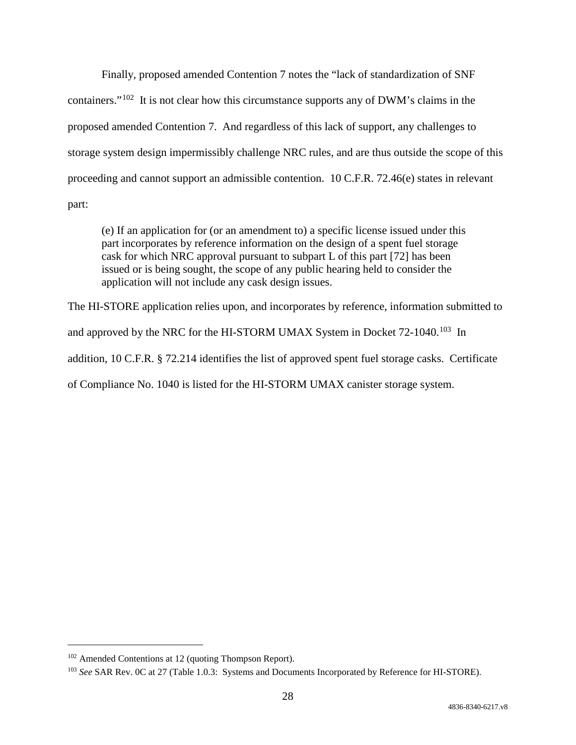Finally, proposed amended Contention 7 notes the "lack of standardization of SNF containers."[102](#page-27-0) It is not clear how this circumstance supports any of DWM's claims in the proposed amended Contention 7. And regardless of this lack of support, any challenges to storage system design impermissibly challenge NRC rules, and are thus outside the scope of this proceeding and cannot support an admissible contention. 10 C.F.R. 72.46(e) states in relevant part:

(e) If an application for (or an amendment to) a specific license issued under this part incorporates by reference information on the design of a spent fuel storage cask for which NRC approval pursuant to subpart L of this part [72] has been issued or is being sought, the scope of any public hearing held to consider the application will not include any cask design issues.

The HI-STORE application relies upon, and incorporates by reference, information submitted to and approved by the NRC for the HI-STORM UMAX System in Docket  $72$ -1040.<sup>103</sup> In addition, 10 C.F.R. § 72.214 identifies the list of approved spent fuel storage casks. Certificate of Compliance No. 1040 is listed for the HI-STORM UMAX canister storage system.

<span id="page-27-0"></span> <sup>102</sup> Amended Contentions at 12 (quoting Thompson Report).

<span id="page-27-1"></span><sup>103</sup> *See* SAR Rev. 0C at 27 (Table 1.0.3: Systems and Documents Incorporated by Reference for HI-STORE).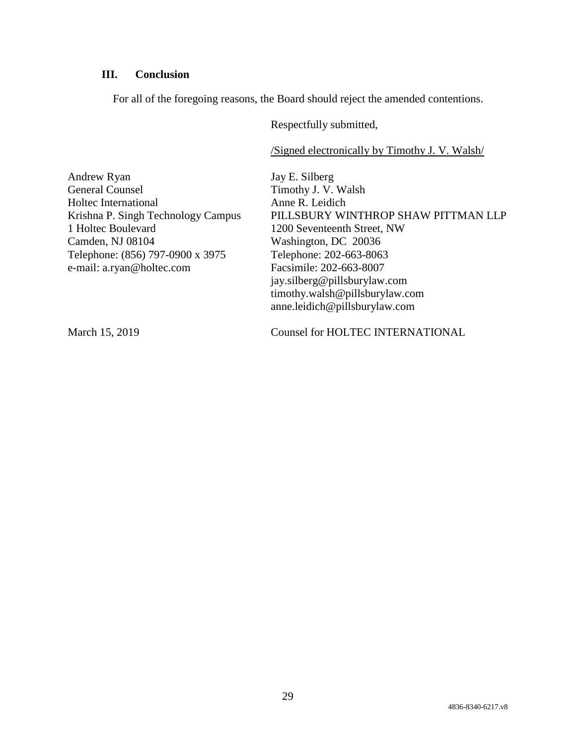# **III. Conclusion**

For all of the foregoing reasons, the Board should reject the amended contentions.

Respectfully submitted,

/Signed electronically by Timothy J. V. Walsh/

| Andrew Ryan                        | Jay E. Silberg                      |
|------------------------------------|-------------------------------------|
| <b>General Counsel</b>             | Timothy J. V. Walsh                 |
| Holtec International               | Anne R. Leidich                     |
| Krishna P. Singh Technology Campus | PILLSBURY WINTHROP SHAW PITTMAN LLP |
| 1 Holtec Boulevard                 | 1200 Seventeenth Street, NW         |
| Camden, NJ 08104                   | Washington, DC 20036                |
| Telephone: (856) 797-0900 x 3975   | Telephone: 202-663-8063             |
| e-mail: a.ryan@holtec.com          | Facsimile: 202-663-8007             |
|                                    | jay.silberg@pillsburylaw.com        |
|                                    | timothy.walsh@pillsburylaw.com      |
|                                    | anne.leidich@pillsburylaw.com       |
|                                    |                                     |

March 15, 2019 Counsel for HOLTEC INTERNATIONAL